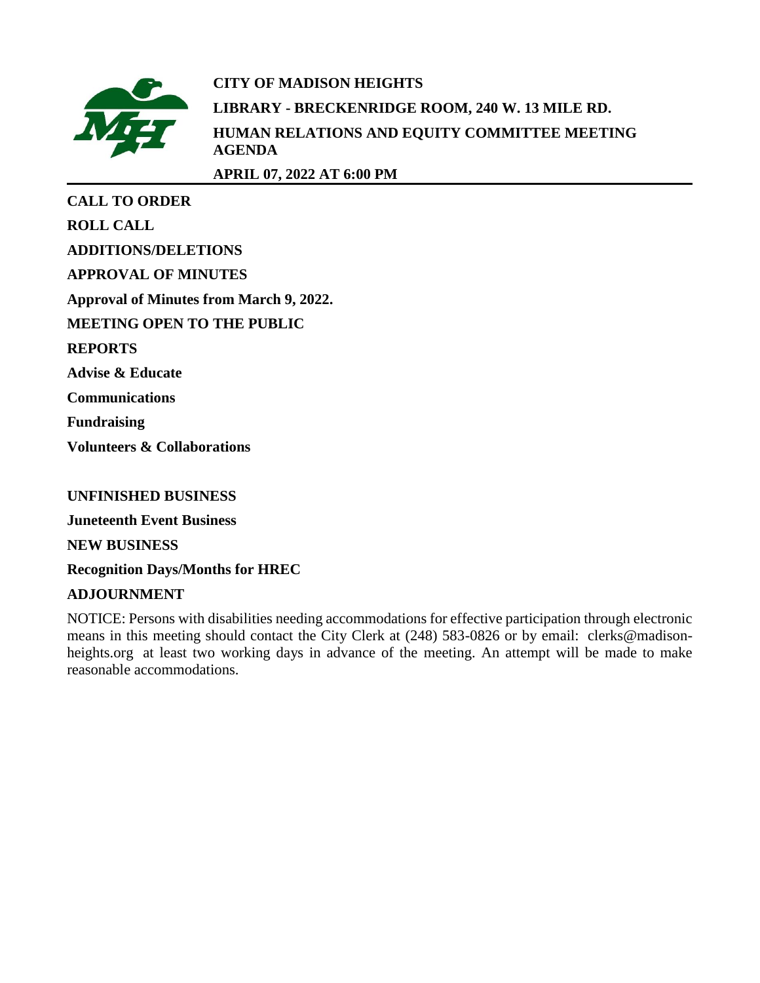

# **CITY OF MADISON HEIGHTS LIBRARY - BRECKENRIDGE ROOM, 240 W. 13 MILE RD. HUMAN RELATIONS AND EQUITY COMMITTEE MEETING AGENDA**

**APRIL 07, 2022 AT 6:00 PM**

| <b>CALL TO ORDER</b>                           |
|------------------------------------------------|
| <b>ROLL CALL</b>                               |
| <b>ADDITIONS/DELETIONS</b>                     |
| <b>APPROVAL OF MINUTES</b>                     |
| <b>Approval of Minutes from March 9, 2022.</b> |
| <b>MEETING OPEN TO THE PUBLIC</b>              |
| <b>REPORTS</b>                                 |
| <b>Advise &amp; Educate</b>                    |
| <b>Communications</b>                          |
| <b>Fundraising</b>                             |
| <b>Volunteers &amp; Collaborations</b>         |

# **UNFINISHED BUSINESS**

**Juneteenth Event Business**

**NEW BUSINESS**

**Recognition Days/Months for HREC**

# **ADJOURNMENT**

NOTICE: Persons with disabilities needing accommodations for effective participation through electronic means in this meeting should contact the City Clerk at (248) 583-0826 or by email: clerks@madisonheights.org at least two working days in advance of the meeting. An attempt will be made to make reasonable accommodations.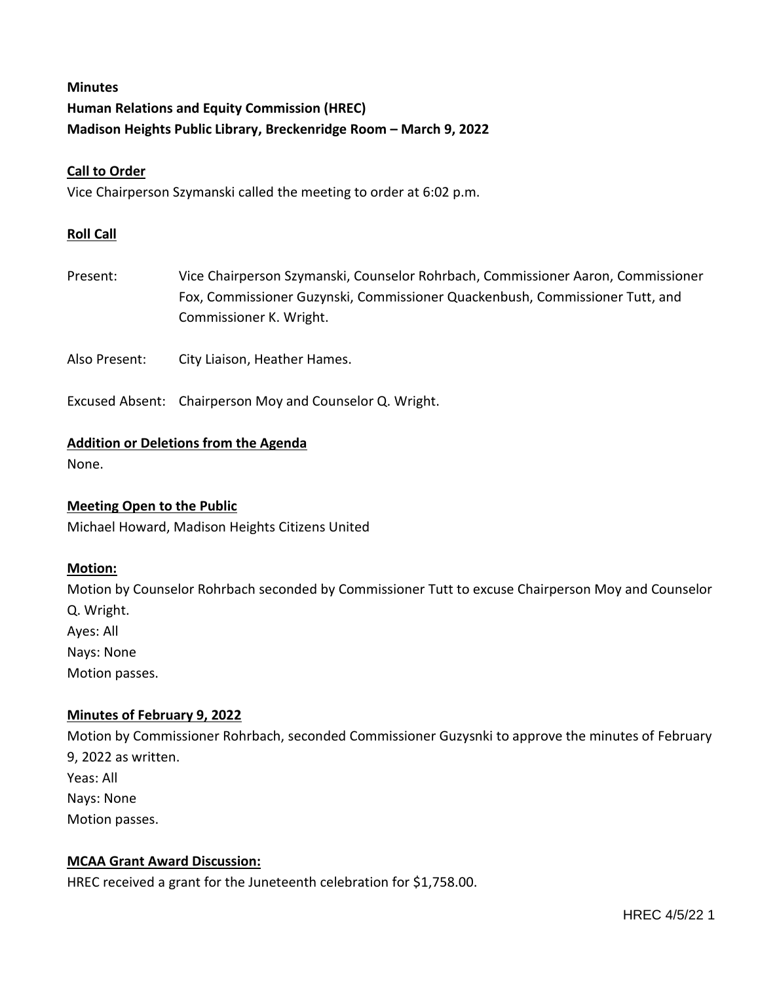# **Minutes Human Relations and Equity Commission (HREC) Madison Heights Public Library, Breckenridge Room – March 9, 2022**

## **Call to Order**

Vice Chairperson Szymanski called the meeting to order at 6:02 p.m.

#### **Roll Call**

Present: Vice Chairperson Szymanski, Counselor Rohrbach, Commissioner Aaron, Commissioner Fox, Commissioner Guzynski, Commissioner Quackenbush, Commissioner Tutt, and Commissioner K. Wright.

Also Present: City Liaison, Heather Hames.

Excused Absent: Chairperson Moy and Counselor Q. Wright.

#### **Addition or Deletions from the Agenda**

None.

#### **Meeting Open to the Public**

Michael Howard, Madison Heights Citizens United

#### **Motion:**

Motion by Counselor Rohrbach seconded by Commissioner Tutt to excuse Chairperson Moy and Counselor Q. Wright. Ayes: All Nays: None Motion passes.

#### **Minutes of February 9, 2022**

Motion by Commissioner Rohrbach, seconded Commissioner Guzysnki to approve the minutes of February 9, 2022 as written. Yeas: All Nays: None Motion passes.

## **MCAA Grant Award Discussion:**

HREC received a grant for the Juneteenth celebration for \$1,758.00.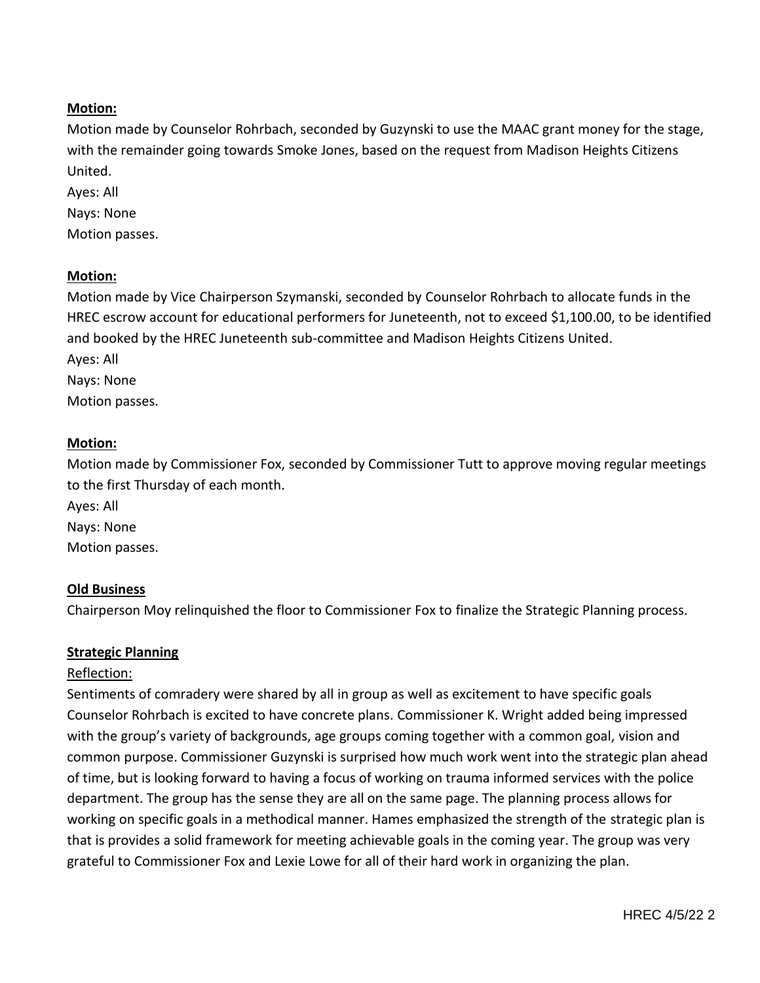## **Motion:**

Motion made by Counselor Rohrbach, seconded by Guzynski to use the MAAC grant money for the stage, with the remainder going towards Smoke Jones, based on the request from Madison Heights Citizens United.

Ayes: All Nays: None Motion passes.

## **Motion:**

Motion made by Vice Chairperson Szymanski, seconded by Counselor Rohrbach to allocate funds in the HREC escrow account for educational performers for Juneteenth, not to exceed \$1,100.00, to be identified and booked by the HREC Juneteenth sub-committee and Madison Heights Citizens United. Ayes: All

Nays: None Motion passes.

## **Motion:**

Motion made by Commissioner Fox, seconded by Commissioner Tutt to approve moving regular meetings to the first Thursday of each month.

Ayes: All Nays: None Motion passes.

## **Old Business**

Chairperson Moy relinquished the floor to Commissioner Fox to finalize the Strategic Planning process.

## **Strategic Planning**

#### Reflection:

Sentiments of comradery were shared by all in group as well as excitement to have specific goals Counselor Rohrbach is excited to have concrete plans. Commissioner K. Wright added being impressed with the group's variety of backgrounds, age groups coming together with a common goal, vision and common purpose. Commissioner Guzynski is surprised how much work went into the strategic plan ahead of time, but is looking forward to having a focus of working on trauma informed services with the police department. The group has the sense they are all on the same page. The planning process allows for working on specific goals in a methodical manner. Hames emphasized the strength of the strategic plan is that is provides a solid framework for meeting achievable goals in the coming year. The group was very grateful to Commissioner Fox and Lexie Lowe for all of their hard work in organizing the plan.